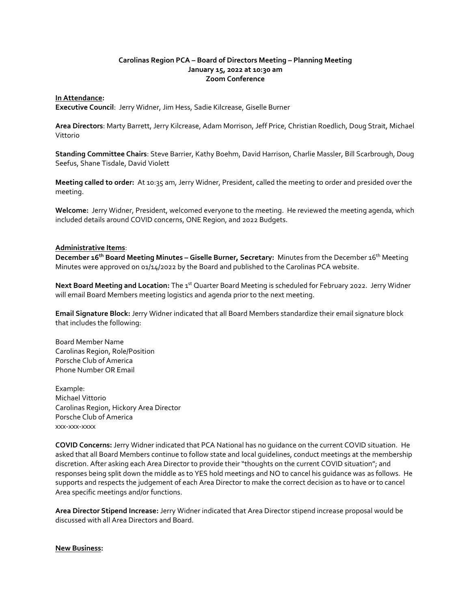## **Carolinas Region PCA – Board of Directors Meeting – Planning Meeting January 15, 2022 at 10:30 am Zoom Conference**

## **In Attendance:**

**Executive Council**: Jerry Widner, Jim Hess, Sadie Kilcrease, Giselle Burner

**Area Directors**: Marty Barrett, Jerry Kilcrease, Adam Morrison, Jeff Price, Christian Roedlich, Doug Strait, Michael Vittorio

**Standing Committee Chairs**: Steve Barrier, Kathy Boehm, David Harrison, Charlie Massler, Bill Scarbrough, Doug Seefus, Shane Tisdale, David Violett

**Meeting called to order:** At 10:35 am, Jerry Widner, President, called the meeting to order and presided over the meeting.

**Welcome:** Jerry Widner, President, welcomed everyone to the meeting. He reviewed the meeting agenda, which included details around COVID concerns, ONE Region, and 2022 Budgets.

## **Administrative Items**:

**December 16th Board Meeting Minutes – Giselle Burner, Secretary:** Minutes from the December 16th Meeting Minutes were approved on 01/14/2022 by the Board and published to the Carolinas PCA website.

Next Board Meeting and Location: The 1<sup>st</sup> Quarter Board Meeting is scheduled for February 2022. Jerry Widner will email Board Members meeting logistics and agenda prior to the next meeting.

**Email Signature Block:** Jerry Widner indicated that all Board Members standardize their email signature block that includes the following:

Board Member Name Carolinas Region, Role/Position Porsche Club of America Phone Number OR Email

Example: Michael Vittorio Carolinas Region, Hickory Area Director Porsche Club of America xxx-xxx-xxxx

**COVID Concerns:** Jerry Widner indicated that PCA National has no guidance on the current COVID situation. He asked that all Board Members continue to follow state and local guidelines, conduct meetings at the membership discretion. After asking each Area Director to provide their "thoughts on the current COVID situation"; and responses being split down the middle as to YES hold meetings and NO to cancel his guidance was as follows. He supports and respects the judgement of each Area Director to make the correct decision as to have or to cancel Area specific meetings and/or functions.

**Area Director Stipend Increase:** Jerry Widner indicated that Area Director stipend increase proposal would be discussed with all Area Directors and Board.

## **New Business:**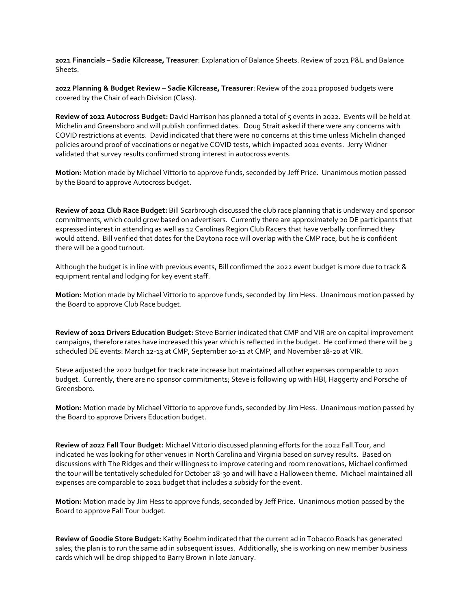**2021 Financials – Sadie Kilcrease, Treasurer**: Explanation of Balance Sheets. Review of 2021 P&L and Balance Sheets.

**2022 Planning & Budget Review – Sadie Kilcrease, Treasurer**: Review of the 2022 proposed budgets were covered by the Chair of each Division (Class).

**Review of 2022 Autocross Budget:** David Harrison has planned a total of 5 events in 2022. Events will be held at Michelin and Greensboro and will publish confirmed dates. Doug Strait asked if there were any concerns with COVID restrictions at events. David indicated that there were no concerns at this time unless Michelin changed policies around proof of vaccinations or negative COVID tests, which impacted 2021 events. Jerry Widner validated that survey results confirmed strong interest in autocross events.

**Motion:** Motion made by Michael Vittorio to approve funds, seconded by Jeff Price. Unanimous motion passed by the Board to approve Autocross budget.

**Review of 2022 Club Race Budget:** Bill Scarbrough discussed the club race planning that is underway and sponsor commitments, which could grow based on advertisers. Currently there are approximately 20 DE participants that expressed interest in attending as well as 12 Carolinas Region Club Racers that have verbally confirmed they would attend. Bill verified that dates for the Daytona race will overlap with the CMP race, but he is confident there will be a good turnout.

Although the budget is in line with previous events, Bill confirmed the 2022 event budget is more due to track & equipment rental and lodging for key event staff.

**Motion:** Motion made by Michael Vittorio to approve funds, seconded by Jim Hess. Unanimous motion passed by the Board to approve Club Race budget.

**Review of 2022 Drivers Education Budget:** Steve Barrier indicated that CMP and VIR are on capital improvement campaigns, therefore rates have increased this year which is reflected in the budget. He confirmed there will be 3 scheduled DE events: March 12-13 at CMP, September 10-11 at CMP, and November 18-20 at VIR.

Steve adjusted the 2022 budget for track rate increase but maintained all other expenses comparable to 2021 budget. Currently, there are no sponsor commitments; Steve is following up with HBI, Haggerty and Porsche of Greensboro.

**Motion:** Motion made by Michael Vittorio to approve funds, seconded by Jim Hess. Unanimous motion passed by the Board to approve Drivers Education budget.

**Review of 2022 Fall Tour Budget:** Michael Vittorio discussed planning efforts for the 2022 Fall Tour, and indicated he was looking for other venues in North Carolina and Virginia based on survey results. Based on discussions with The Ridges and their willingness to improve catering and room renovations, Michael confirmed the tour will be tentatively scheduled for October 28-30 and will have a Halloween theme. Michael maintained all expenses are comparable to 2021 budget that includes a subsidy for the event.

**Motion:** Motion made by Jim Hess to approve funds, seconded by Jeff Price. Unanimous motion passed by the Board to approve Fall Tour budget.

**Review of Goodie Store Budget:** Kathy Boehm indicated that the current ad in Tobacco Roads has generated sales; the plan is to run the same ad in subsequent issues. Additionally, she is working on new member business cards which will be drop shipped to Barry Brown in late January.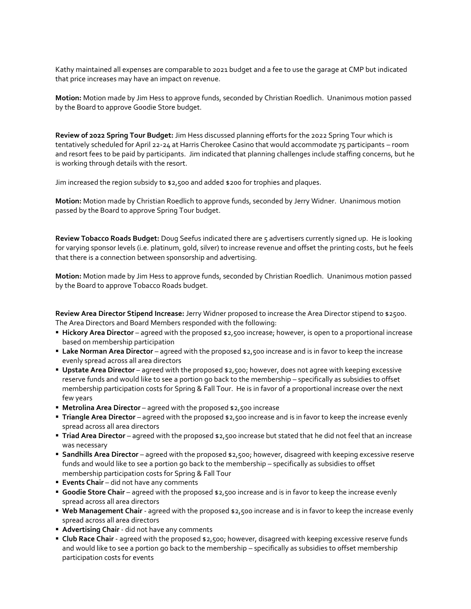Kathy maintained all expenses are comparable to 2021 budget and a fee to use the garage at CMP but indicated that price increases may have an impact on revenue.

**Motion:** Motion made by Jim Hess to approve funds, seconded by Christian Roedlich. Unanimous motion passed by the Board to approve Goodie Store budget.

**Review of 2022 Spring Tour Budget:** Jim Hess discussed planning efforts for the 2022 Spring Tour which is tentatively scheduled for April 22-24 at Harris Cherokee Casino that would accommodate 75 participants – room and resort fees to be paid by participants. Jim indicated that planning challenges include staffing concerns, but he is working through details with the resort.

Jim increased the region subsidy to \$2,500 and added \$200 for trophies and plaques.

**Motion:** Motion made by Christian Roedlich to approve funds, seconded by Jerry Widner. Unanimous motion passed by the Board to approve Spring Tour budget.

**Review Tobacco Roads Budget:** Doug Seefus indicated there are 5 advertisers currently signed up. He is looking for varying sponsor levels (i.e. platinum, gold, silver) to increase revenue and offset the printing costs, but he feels that there is a connection between sponsorship and advertising.

**Motion:** Motion made by Jim Hess to approve funds, seconded by Christian Roedlich. Unanimous motion passed by the Board to approve Tobacco Roads budget.

**Review Area Director Stipend Increase:** Jerry Widner proposed to increase the Area Director stipend to \$2500. The Area Directors and Board Members responded with the following:

- **EXTER 15 Hickory Area Director** agreed with the proposed \$2,500 increase; however, is open to a proportional increase based on membership participation
- **Example 20 Increase Area Director** agreed with the proposed \$2,500 increase and is in favor to keep the increase evenly spread across all area directors
- **Upstate Area Director** agreed with the proposed \$2,500; however, does not agree with keeping excessive reserve funds and would like to see a portion go back to the membership – specifically as subsidies to offset membership participation costs for Spring & Fall Tour. He is in favor of a proportional increase over the next few years
- **Metrolina Area Director** agreed with the proposed \$2,500 increase
- **Triangle Area Director** agreed with the proposed \$2,500 increase and is in favor to keep the increase evenly spread across all area directors
- **Triad Area Director** agreed with the proposed \$2,500 increase but stated that he did not feel that an increase was necessary
- **Sandhills Area Director** agreed with the proposed \$2,500; however, disagreed with keeping excessive reserve funds and would like to see a portion go back to the membership – specifically as subsidies to offset membership participation costs for Spring & Fall Tour
- **Events Chair** did not have any comments
- **Goodie Store Chair** agreed with the proposed \$2,500 increase and is in favor to keep the increase evenly spread across all area directors
- **Web Management Chair** agreed with the proposed \$2,500 increase and is in favor to keep the increase evenly spread across all area directors
- **E** Advertising Chair did not have any comments
- **Example Race Chair** agreed with the proposed \$2,500; however, disagreed with keeping excessive reserve funds and would like to see a portion go back to the membership – specifically as subsidies to offset membership participation costs for events